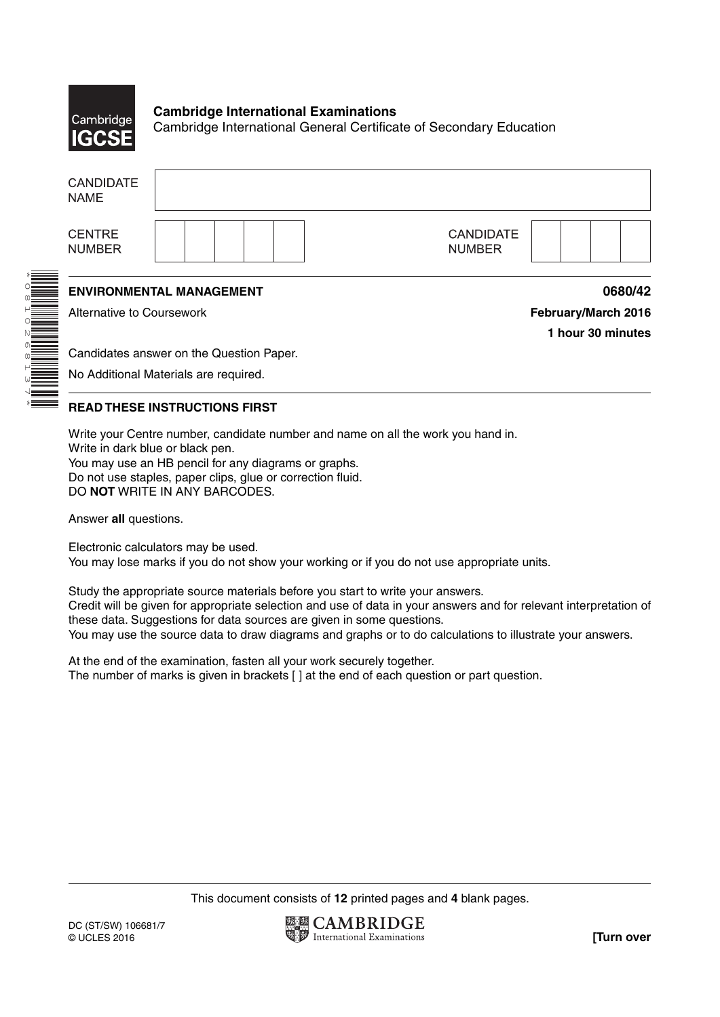

\*0810268137\*

#### **Cambridge International Examinations** Cambridge International General Certificate of Secondary Education

| <b>CANDIDATE</b><br><b>NAME</b>  |                                          |                     |
|----------------------------------|------------------------------------------|---------------------|
| <b>CENTRE</b><br><b>NUMBER</b>   | <b>CANDIDATE</b><br><b>NUMBER</b>        |                     |
|                                  | <b>ENVIRONMENTAL MANAGEMENT</b>          | 0680/42             |
| <b>Alternative to Coursework</b> |                                          | February/March 2016 |
|                                  |                                          | 1 hour 30 minutes   |
|                                  | Candidates answer on the Question Paper. |                     |
|                                  |                                          |                     |

### **READ THESE INSTRUCTIONS FIRST**

Write your Centre number, candidate number and name on all the work you hand in. Write in dark blue or black pen. You may use an HB pencil for any diagrams or graphs. Do not use staples, paper clips, glue or correction fluid. DO **NOT** WRITE IN ANY BARCODES.

Answer **all** questions.

Electronic calculators may be used. You may lose marks if you do not show your working or if you do not use appropriate units.

Study the appropriate source materials before you start to write your answers. Credit will be given for appropriate selection and use of data in your answers and for relevant interpretation of these data. Suggestions for data sources are given in some questions. You may use the source data to draw diagrams and graphs or to do calculations to illustrate your answers.

At the end of the examination, fasten all your work securely together. The number of marks is given in brackets [ ] at the end of each question or part question.

This document consists of **12** printed pages and **4** blank pages.

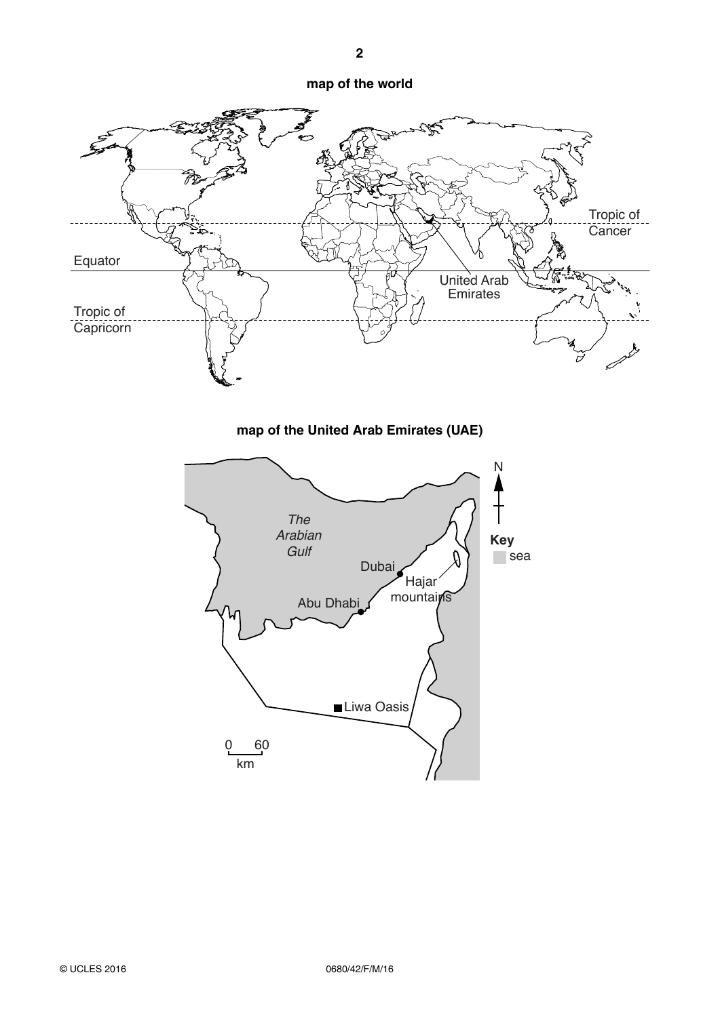#### **map of the world**



**map of the United Arab Emirates (UAE)**

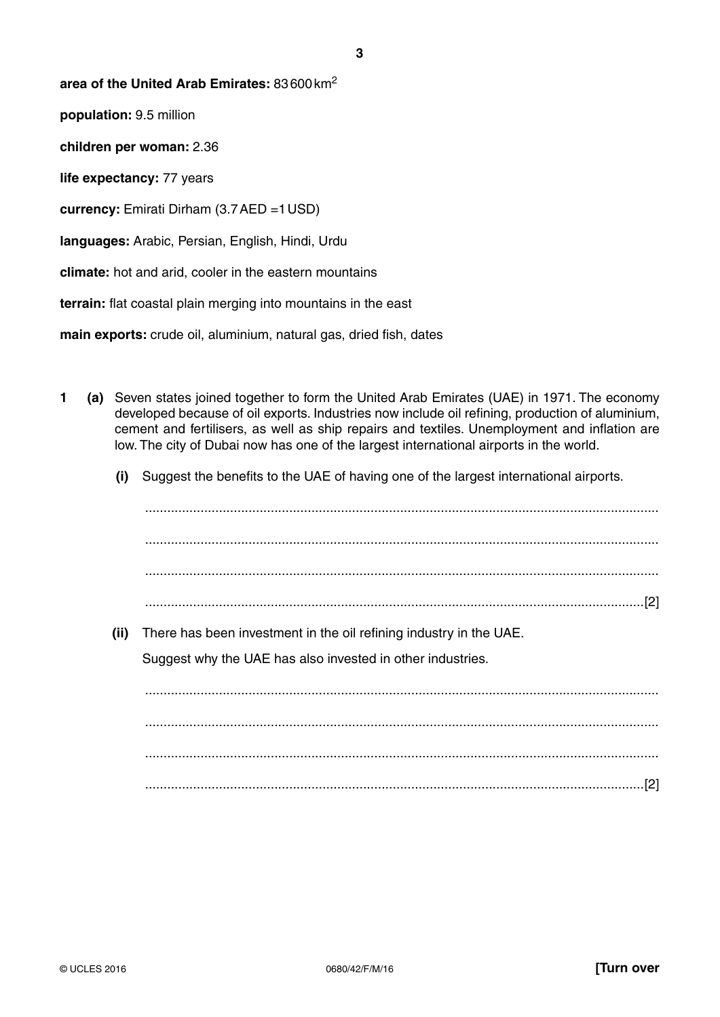#### **area of the United Arab Emirates:** 83 600 km2

**population:** 9.5 million

**children per woman:** 2.36

**life expectancy:** 77 years

**currency:** Emirati Dirham (3.7 AED =1 USD)

**languages:** Arabic, Persian, English, Hindi, Urdu

**climate:** hot and arid, cooler in the eastern mountains

**terrain:** flat coastal plain merging into mountains in the east

**main exports:** crude oil, aluminium, natural gas, dried fish, dates

- **1 (a)** Seven states joined together to form the United Arab Emirates (UAE) in 1971. The economy developed because of oil exports. Industries now include oil refining, production of aluminium, cement and fertilisers, as well as ship repairs and textiles. Unemployment and inflation are low. The city of Dubai now has one of the largest international airports in the world.
	- **(i)** Suggest the benefits to the UAE of having one of the largest international airports.

 ........................................................................................................................................... ........................................................................................................................................... .......................................................................................................................................[2]  **(ii)** There has been investment in the oil refining industry in the UAE. Suggest why the UAE has also invested in other industries. ........................................................................................................................................... ........................................................................................................................................... ........................................................................................................................................... .......................................................................................................................................[2]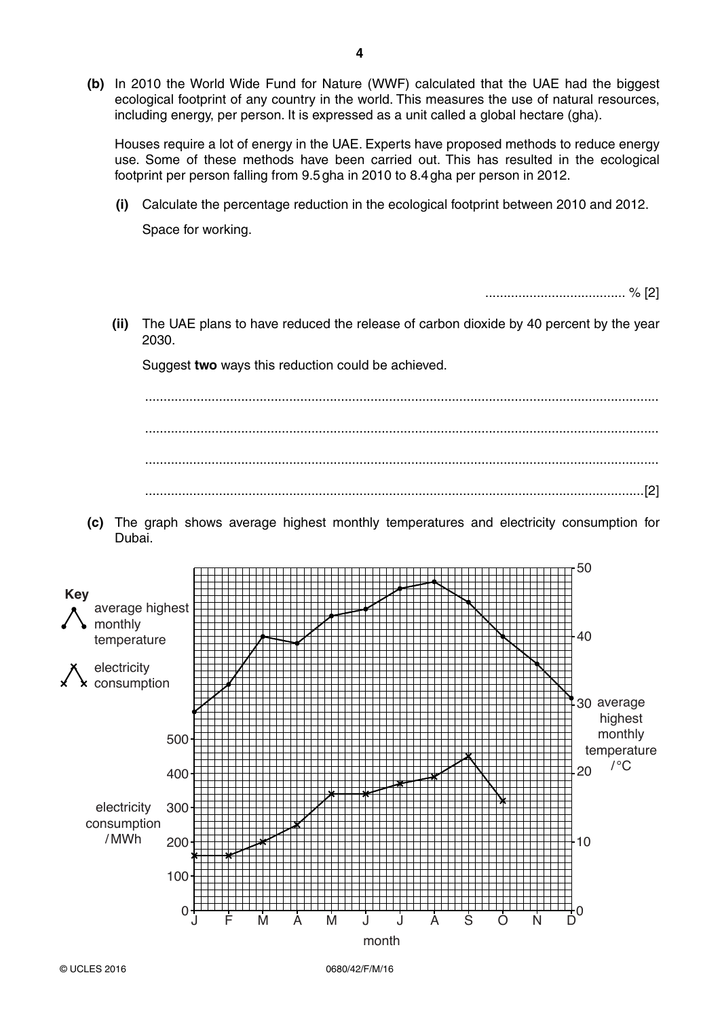**(b)** In 2010 the World Wide Fund for Nature (WWF) calculated that the UAE had the biggest ecological footprint of any country in the world. This measures the use of natural resources, including energy, per person. It is expressed as a unit called a global hectare (gha).

Houses require a lot of energy in the UAE. Experts have proposed methods to reduce energy use. Some of these methods have been carried out. This has resulted in the ecological footprint per person falling from 9.5 gha in 2010 to 8.4 gha per person in 2012.

 **(i)** Calculate the percentage reduction in the ecological footprint between 2010 and 2012. Space for working.

...................................... % [2]

 **(ii)** The UAE plans to have reduced the release of carbon dioxide by 40 percent by the year 2030.

Suggest **two** ways this reduction could be achieved.

 ........................................................................................................................................... ........................................................................................................................................... ........................................................................................................................................... .......................................................................................................................................[2]

 **(c)** The graph shows average highest monthly temperatures and electricity consumption for Dubai.

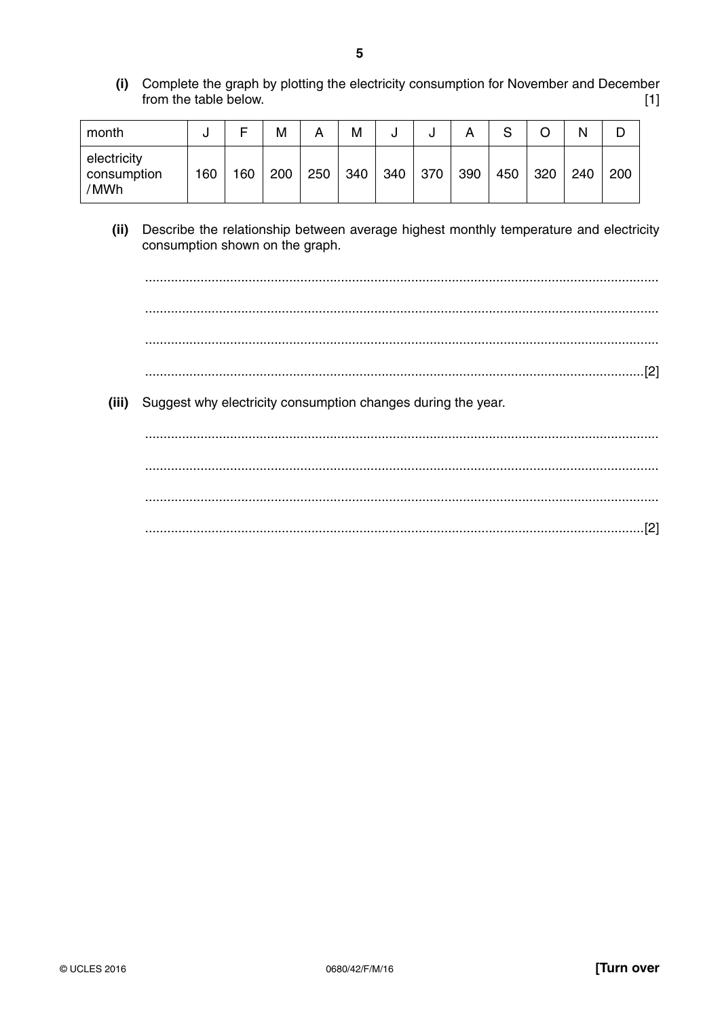(i) Complete the graph by plotting the electricity consumption for November and December from the table below.  $[1]$ 

| month                              | u   |     | M   |     | M   | J   | u   | ⌒   | ⌒<br>ບ |     | N   | D   |
|------------------------------------|-----|-----|-----|-----|-----|-----|-----|-----|--------|-----|-----|-----|
| electricity<br>consumption<br>'MWh | 160 | 160 | 200 | 250 | 340 | 340 | 370 | 390 | 450    | 320 | 240 | 200 |

(ii) Describe the relationship between average highest monthly temperature and electricity consumption shown on the graph.

(iii) Suggest why electricity consumption changes during the year.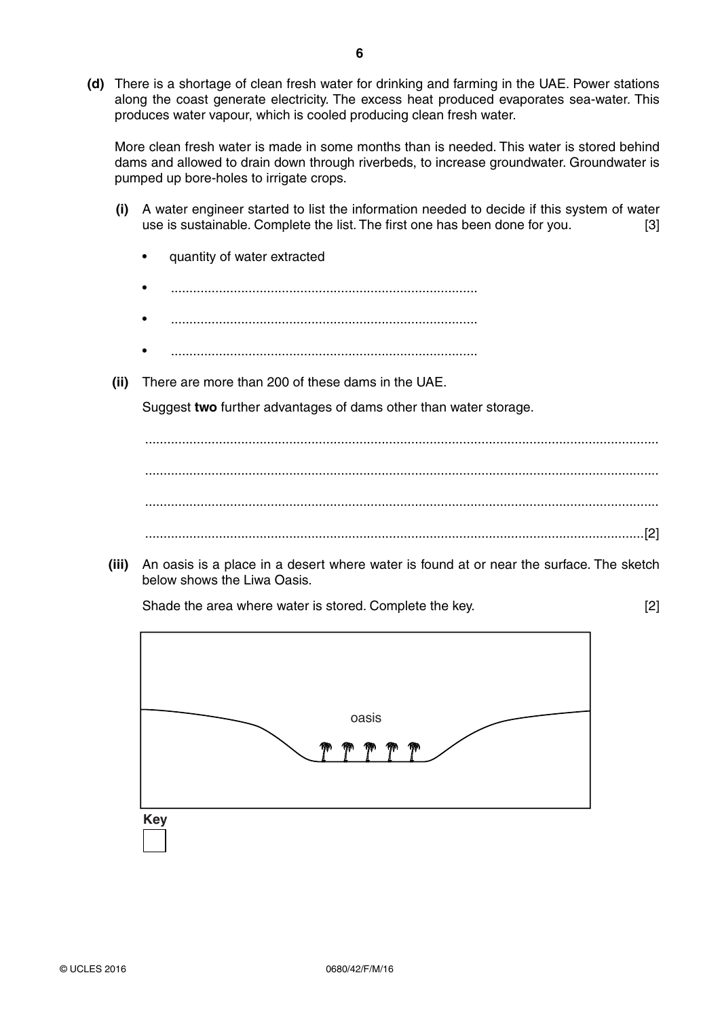**(d)** There is a shortage of clean fresh water for drinking and farming in the UAE. Power stations along the coast generate electricity. The excess heat produced evaporates sea-water. This produces water vapour, which is cooled producing clean fresh water.

More clean fresh water is made in some months than is needed. This water is stored behind dams and allowed to drain down through riverbeds, to increase groundwater. Groundwater is pumped up bore-holes to irrigate crops.

- **(i)** A water engineer started to list the information needed to decide if this system of water use is sustainable. Complete the list. The first one has been done for you. [3]
	- quantity of water extracted
	- ...................................................................................
	- ...................................................................................
	- ...................................................................................
- **(ii)** There are more than 200 of these dams in the UAE.

Suggest **two** further advantages of dams other than water storage.

 ........................................................................................................................................... ........................................................................................................................................... ........................................................................................................................................... .......................................................................................................................................[2]

 **(iii)** An oasis is a place in a desert where water is found at or near the surface. The sketch below shows the Liwa Oasis.

Shade the area where water is stored. Complete the key. [2]

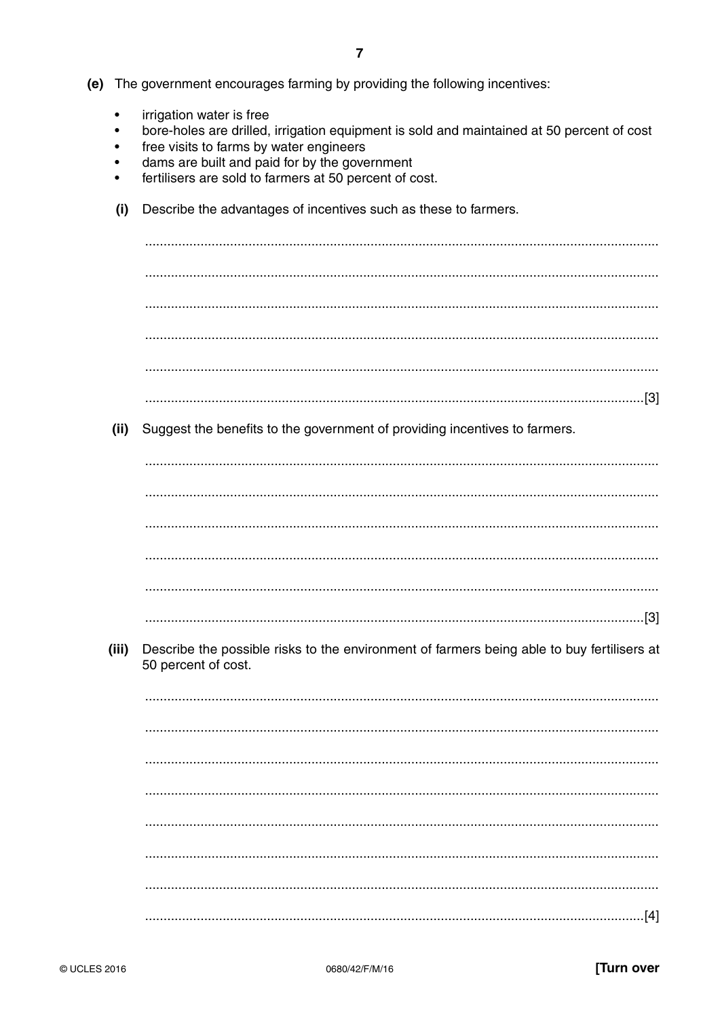- (e) The government encourages farming by providing the following incentives:
	- irrigation water is free  $\bullet$
	- bore-holes are drilled, irrigation equipment is sold and maintained at 50 percent of cost  $\bullet$
	- free visits to farms by water engineers
	- dams are built and paid for by the government
	- fertilisers are sold to farmers at 50 percent of cost.
	- Describe the advantages of incentives such as these to farmers.  $(i)$

 $(ii)$ Suggest the benefits to the government of providing incentives to farmers.

Describe the possible risks to the environment of farmers being able to buy fertilisers at (iii) 50 percent of cost.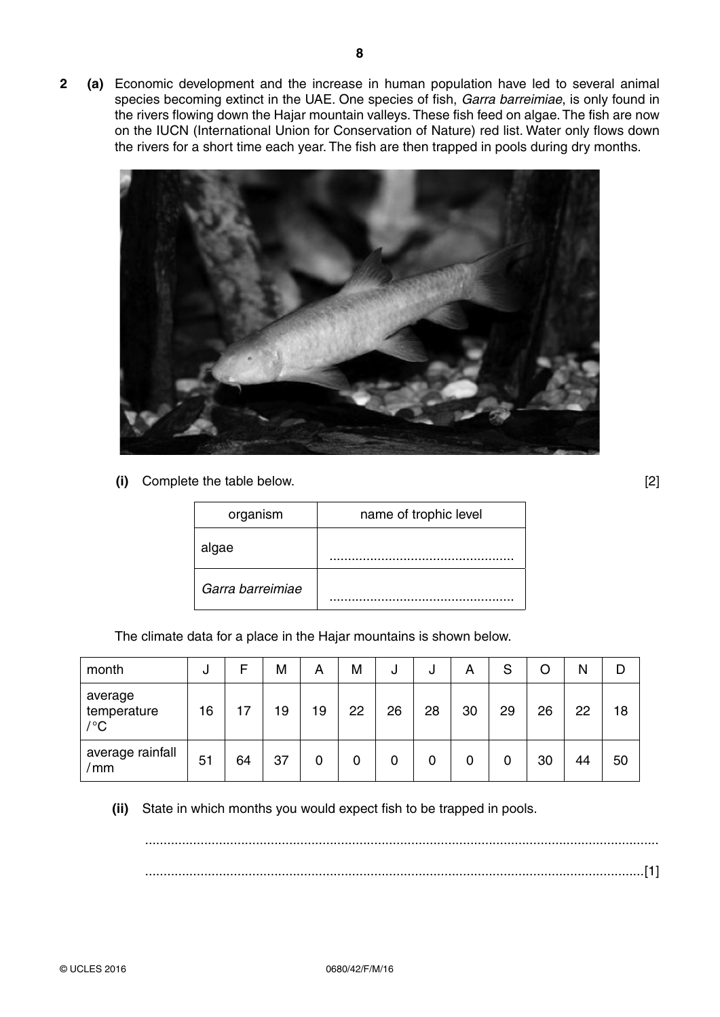**2 (a)** Economic development and the increase in human population have led to several animal species becoming extinct in the UAE. One species of fish, *Garra barreimiae*, is only found in the rivers flowing down the Hajar mountain valleys. These fish feed on algae. The fish are now on the IUCN (International Union for Conservation of Nature) red list. Water only flows down the rivers for a short time each year. The fish are then trapped in pools during dry months.



 **(i)** Complete the table below. [2]

| organism         | name of trophic level |
|------------------|-----------------------|
| algae            |                       |
| Garra barreimiae |                       |

The climate data for a place in the Hajar mountains is shown below.

| month                         | J  | F  | M  | А  | M  | J  | υ  | А  | S  | O  | Ν  | D  |
|-------------------------------|----|----|----|----|----|----|----|----|----|----|----|----|
| average<br>temperature<br>/°C | 16 | 17 | 19 | 19 | 22 | 26 | 28 | 30 | 29 | 26 | 22 | 18 |
| average rainfall<br>'mm       | 51 | 64 | 37 | 0  | 0  | 0  | 0  | 0  | 0  | 30 | 44 | 50 |

 **(ii)** State in which months you would expect fish to be trapped in pools.

 ........................................................................................................................................... .......................................................................................................................................[1]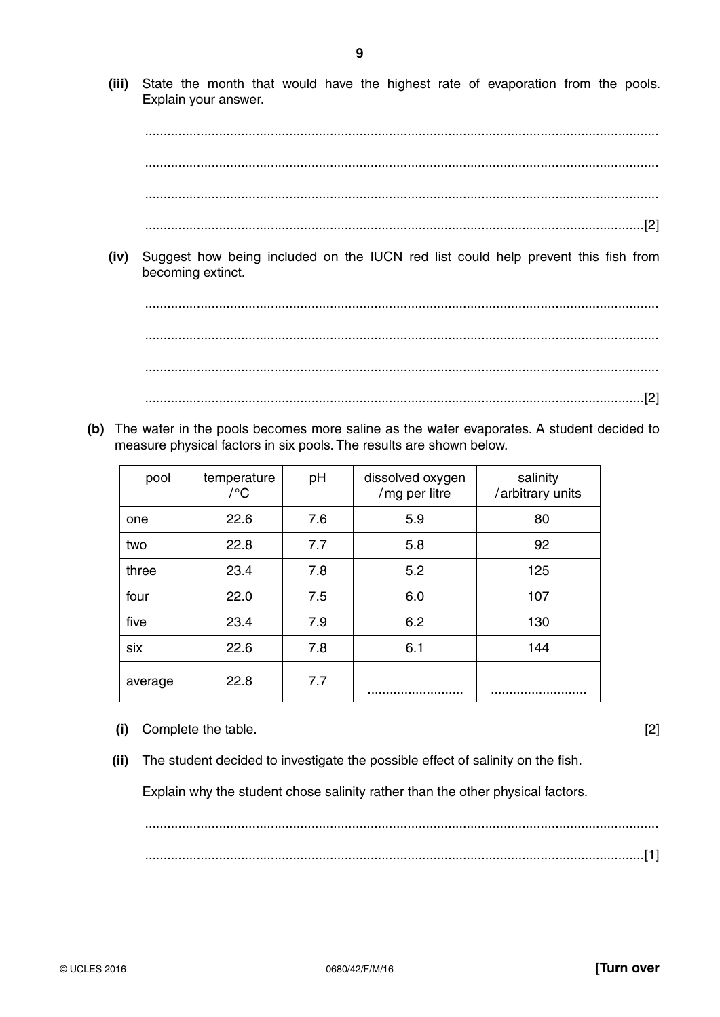- 
- © UCLES 2016

 $(ii)$ 

State the month that would have the highest rate of evaporation from the pools. Explain your answer. 

(iii)

- 
- Suggest how being included on the IUCN red list could help prevent this fish from  $(iv)$ becoming extinct.

(b) The water in the pools becomes more saline as the water evaporates. A student decided to measure physical factors in six pools. The results are shown below.

| pool    | temperature<br>$/ {}^{\circ}C$ | pH  | dissolved oxygen<br>/mg per litre | salinity<br>/arbitrary units |
|---------|--------------------------------|-----|-----------------------------------|------------------------------|
| one     | 22.6                           | 7.6 | 5.9                               | 80                           |
| two     | 22.8                           | 7.7 | 5.8                               | 92                           |
| three   | 23.4                           | 7.8 | 5.2                               | 125                          |
| four    | 22.0                           | 7.5 | 6.0                               | 107                          |
| five    | 23.4                           | 7.9 | 6.2                               | 130                          |
| six     | 22.6                           | 7.8 | 6.1                               | 144                          |
| average | 22.8                           | 7.7 |                                   |                              |

The student decided to investigate the possible effect of salinity on the fish.

Explain why the student chose salinity rather than the other physical factors.

(i) Complete the table.

 $[2]$ 

9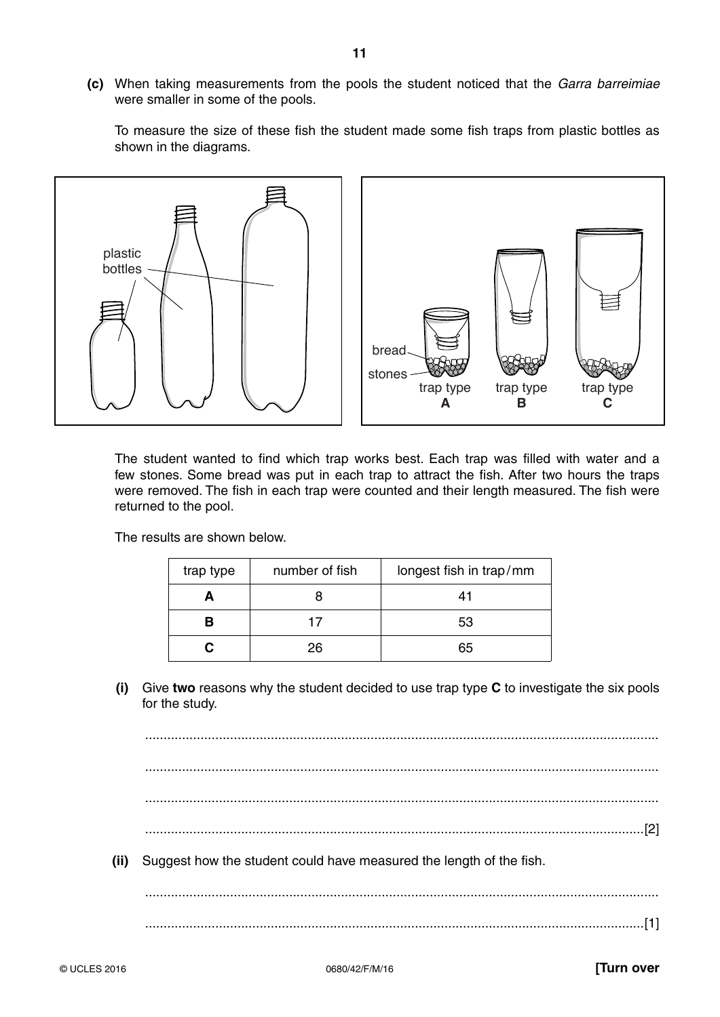**(c)** When taking measurements from the pools the student noticed that the *Garra barreimiae*  were smaller in some of the pools.

To measure the size of these fish the student made some fish traps from plastic bottles as shown in the diagrams.



The student wanted to find which trap works best. Each trap was filled with water and a few stones. Some bread was put in each trap to attract the fish. After two hours the traps were removed. The fish in each trap were counted and their length measured. The fish were returned to the pool.

The results are shown below.

| number of fish<br>trap type |    | longest fish in trap/mm |
|-----------------------------|----|-------------------------|
|                             |    |                         |
| R                           | 17 | 53                      |
|                             | 26 | 65                      |

 **(i)** Give **two** reasons why the student decided to use trap type **C** to investigate the six pools for the study.

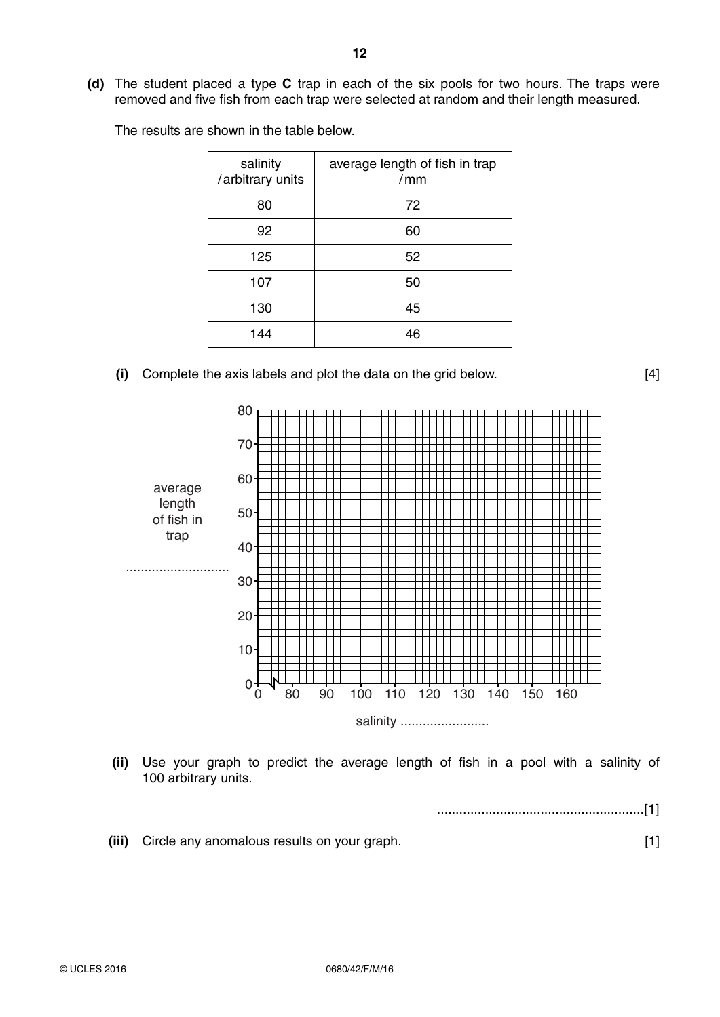**(d)** The student placed a type **C** trap in each of the six pools for two hours. The traps were removed and five fish from each trap were selected at random and their length measured.

The results are shown in the table below.

| salinity<br>/arbitrary units | average length of fish in trap<br>/mm |
|------------------------------|---------------------------------------|
| 80                           | 72                                    |
| 92                           | 60                                    |
| 125                          | 52                                    |
| 107                          | 50                                    |
| 130                          | 45                                    |
| 144                          | 46                                    |

 **(i)** Complete the axis labels and plot the data on the grid below. [4]



 **(ii)** Use your graph to predict the average length of fish in a pool with a salinity of 100 arbitrary units.

........................................................[1]

 **(iii)** Circle any anomalous results on your graph. [1]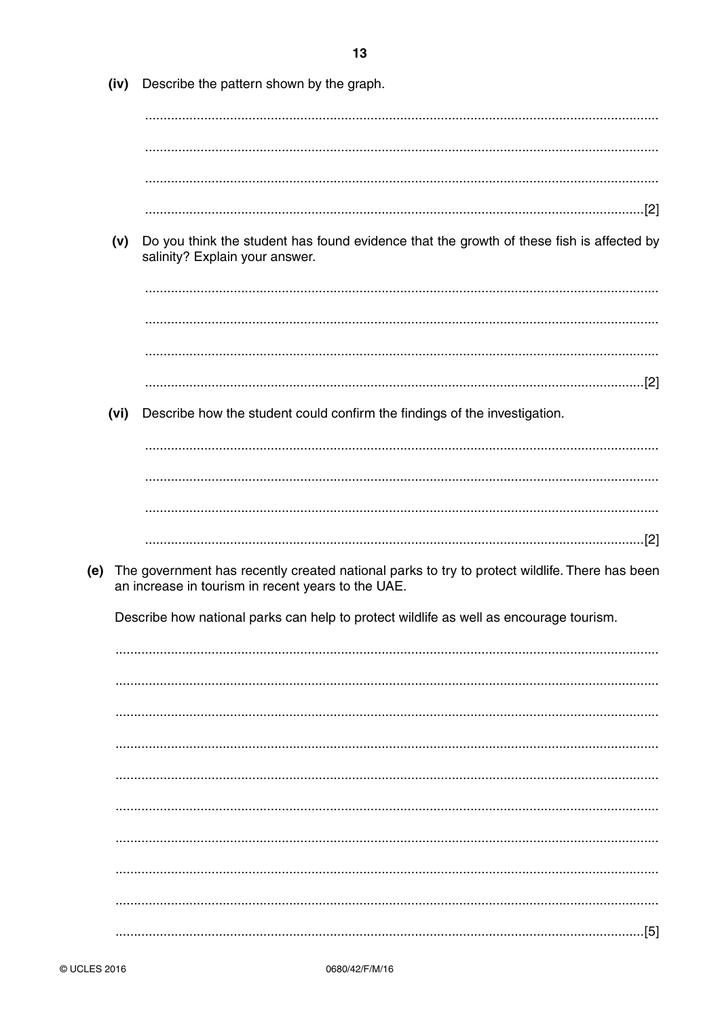|     | (iv) | Describe the pattern shown by the graph.                                                                                                            |
|-----|------|-----------------------------------------------------------------------------------------------------------------------------------------------------|
|     |      |                                                                                                                                                     |
|     |      |                                                                                                                                                     |
|     |      |                                                                                                                                                     |
|     | (v)  | Do you think the student has found evidence that the growth of these fish is affected by<br>salinity? Explain your answer.                          |
|     |      |                                                                                                                                                     |
|     |      |                                                                                                                                                     |
|     | (vi) | Describe how the student could confirm the findings of the investigation.                                                                           |
|     |      |                                                                                                                                                     |
|     |      |                                                                                                                                                     |
|     |      |                                                                                                                                                     |
|     |      |                                                                                                                                                     |
| (e) |      | The government has recently created national parks to try to protect wildlife. There has been<br>an increase in tourism in recent years to the UAE. |
|     |      | Describe how national parks can help to protect wildlife as well as encourage tourism.                                                              |
|     |      |                                                                                                                                                     |
|     |      |                                                                                                                                                     |
|     |      |                                                                                                                                                     |
|     |      |                                                                                                                                                     |
|     |      |                                                                                                                                                     |
|     |      |                                                                                                                                                     |
|     |      |                                                                                                                                                     |
|     |      |                                                                                                                                                     |
|     |      |                                                                                                                                                     |
|     |      |                                                                                                                                                     |
|     |      | [5]                                                                                                                                                 |